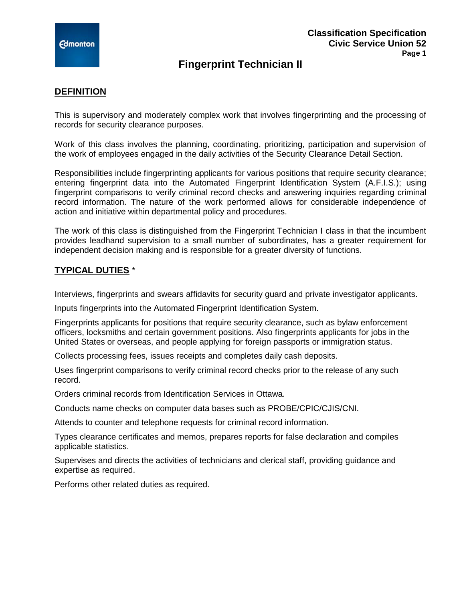# **Fingerprint Technician II**

## **DEFINITION**

This is supervisory and moderately complex work that involves fingerprinting and the processing of records for security clearance purposes.

Work of this class involves the planning, coordinating, prioritizing, participation and supervision of the work of employees engaged in the daily activities of the Security Clearance Detail Section.

Responsibilities include fingerprinting applicants for various positions that require security clearance; entering fingerprint data into the Automated Fingerprint Identification System (A.F.I.S.); using fingerprint comparisons to verify criminal record checks and answering inquiries regarding criminal record information. The nature of the work performed allows for considerable independence of action and initiative within departmental policy and procedures.

The work of this class is distinguished from the Fingerprint Technician I class in that the incumbent provides leadhand supervision to a small number of subordinates, has a greater requirement for independent decision making and is responsible for a greater diversity of functions.

#### **TYPICAL DUTIES** \*

Interviews, fingerprints and swears affidavits for security guard and private investigator applicants.

Inputs fingerprints into the Automated Fingerprint Identification System.

Fingerprints applicants for positions that require security clearance, such as bylaw enforcement officers, locksmiths and certain government positions. Also fingerprints applicants for jobs in the United States or overseas, and people applying for foreign passports or immigration status.

Collects processing fees, issues receipts and completes daily cash deposits.

Uses fingerprint comparisons to verify criminal record checks prior to the release of any such record.

Orders criminal records from Identification Services in Ottawa.

Conducts name checks on computer data bases such as PROBE/CPIC/CJIS/CNI.

Attends to counter and telephone requests for criminal record information.

Types clearance certificates and memos, prepares reports for false declaration and compiles applicable statistics.

Supervises and directs the activities of technicians and clerical staff, providing guidance and expertise as required.

Performs other related duties as required.